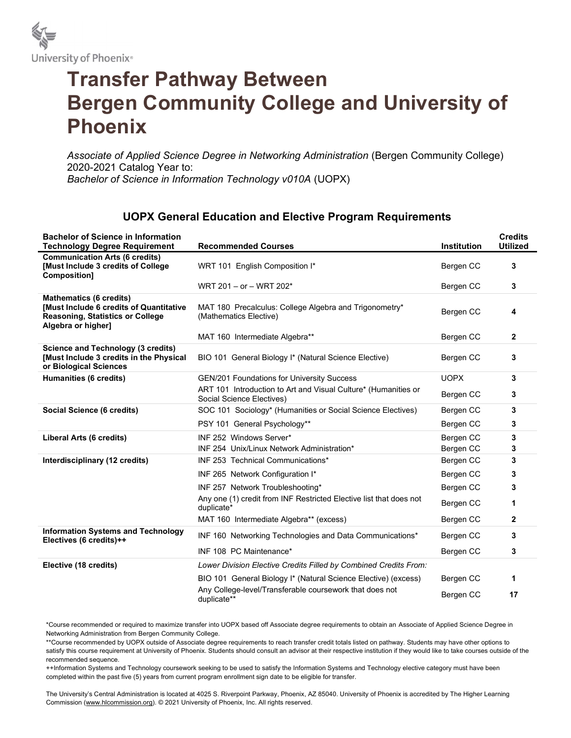

## Transfer Pathway Between Bergen Community College and University of Phoenix

Associate of Applied Science Degree in Networking Administration (Bergen Community College) 2020-2021 Catalog Year to: Bachelor of Science in Information Technology v010A (UOPX)

## UOPX General Education and Elective Program Requirements

| <b>Bachelor of Science in Information</b><br><b>Technology Degree Requirement</b>                                                                 | <b>Recommended Courses</b>                                                                  | <b>Institution</b> | <b>Credits</b><br><b>Utilized</b> |
|---------------------------------------------------------------------------------------------------------------------------------------------------|---------------------------------------------------------------------------------------------|--------------------|-----------------------------------|
| <b>Communication Arts (6 credits)</b><br><b>[Must Include 3 credits of College</b><br>Composition]                                                | WRT 101 English Composition I*                                                              | Bergen CC          | 3                                 |
|                                                                                                                                                   | WRT 201 - or - WRT 202*                                                                     | Bergen CC          | 3                                 |
| <b>Mathematics (6 credits)</b><br><b>[Must Include 6 credits of Quantitative</b><br><b>Reasoning, Statistics or College</b><br>Algebra or higher] | MAT 180 Precalculus: College Algebra and Trigonometry*<br>(Mathematics Elective)            | Bergen CC          | 4                                 |
|                                                                                                                                                   | MAT 160 Intermediate Algebra**                                                              | Bergen CC          | $\mathbf{2}$                      |
| Science and Technology (3 credits)<br>[Must Include 3 credits in the Physical<br>or Biological Sciences                                           | BIO 101 General Biology I* (Natural Science Elective)                                       | Bergen CC          | 3                                 |
| <b>Humanities (6 credits)</b>                                                                                                                     | <b>GEN/201 Foundations for University Success</b>                                           | <b>UOPX</b>        | 3                                 |
|                                                                                                                                                   | ART 101 Introduction to Art and Visual Culture* (Humanities or<br>Social Science Electives) | Bergen CC          | 3                                 |
| Social Science (6 credits)                                                                                                                        | SOC 101 Sociology* (Humanities or Social Science Electives)                                 | Bergen CC          | 3                                 |
|                                                                                                                                                   | PSY 101 General Psychology**                                                                | Bergen CC          | 3                                 |
| Liberal Arts (6 credits)                                                                                                                          | INF 252 Windows Server*                                                                     | Bergen CC          | 3                                 |
|                                                                                                                                                   | INF 254 Unix/Linux Network Administration*                                                  | Bergen CC          | 3                                 |
| Interdisciplinary (12 credits)                                                                                                                    | INF 253 Technical Communications*                                                           | Bergen CC          | 3                                 |
|                                                                                                                                                   | INF 265 Network Configuration I*                                                            | Bergen CC          | 3                                 |
|                                                                                                                                                   | INF 257 Network Troubleshooting*                                                            | Bergen CC          | 3                                 |
|                                                                                                                                                   | Any one (1) credit from INF Restricted Elective list that does not<br>duplicate*            | Bergen CC          | 1                                 |
|                                                                                                                                                   | MAT 160 Intermediate Algebra** (excess)                                                     | Bergen CC          | 2                                 |
| <b>Information Systems and Technology</b><br>Electives (6 credits)++                                                                              | INF 160 Networking Technologies and Data Communications*                                    | Bergen CC          | 3                                 |
|                                                                                                                                                   | INF 108 PC Maintenance*                                                                     | Bergen CC          | 3                                 |
| Elective (18 credits)                                                                                                                             | Lower Division Elective Credits Filled by Combined Credits From:                            |                    |                                   |
|                                                                                                                                                   | BIO 101 General Biology I* (Natural Science Elective) (excess)                              | Bergen CC          | 1                                 |
|                                                                                                                                                   | Any College-level/Transferable coursework that does not<br>duplicate**                      | Bergen CC          | 17                                |

\*Course recommended or required to maximize transfer into UOPX based off Associate degree requirements to obtain an Associate of Applied Science Degree in Networking Administration from Bergen Community College.

\*\*Course recommended by UOPX outside of Associate degree requirements to reach transfer credit totals listed on pathway. Students may have other options to

satisfy this course requirement at University of Phoenix. Students should consult an advisor at their respective institution if they would like to take courses outside of the recommended sequence.

++Information Systems and Technology coursework seeking to be used to satisfy the Information Systems and Technology elective category must have been completed within the past five (5) years from current program enrollment sign date to be eligible for transfer.

The University's Central Administration is located at 4025 S. Riverpoint Parkway, Phoenix, AZ 85040. University of Phoenix is accredited by The Higher Learning Commission (www.hlcommission.org). © 2021 University of Phoenix, Inc. All rights reserved.